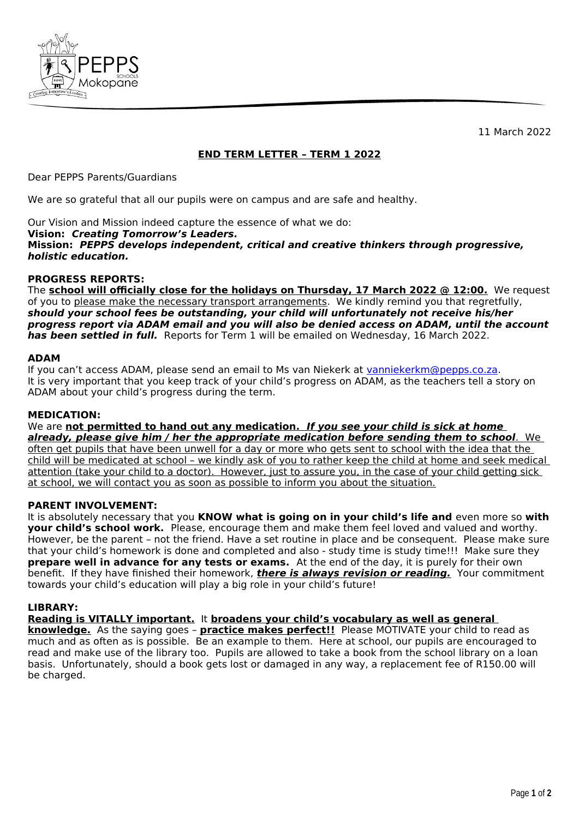

11 March 2022

# **END TERM LETTER – TERM 1 2022**

Dear PEPPS Parents/Guardians

We are so grateful that all our pupils were on campus and are safe and healthy.

Our Vision and Mission indeed capture the essence of what we do:

**Vision: Creating Tomorrow's Leaders.**

**Mission: PEPPS develops independent, critical and creative thinkers through progressive, holistic education.**

## **PROGRESS REPORTS:**

The **school will officially close for the holidays on Thursday, 17 March 2022 @ 12:00.** We request of you to please make the necessary transport arrangements. We kindly remind you that regretfully, **should your school fees be outstanding, your child will unfortunately not receive his/her progress report via ADAM email and you will also be denied access on ADAM, until the account has been settled in full.** Reports for Term 1 will be emailed on Wednesday, 16 March 2022.

## **ADAM**

If you can't access ADAM, please send an email to Ms van Niekerk at [vanniekerkm@pepps.co.za](mailto:vanniekerkm@pepps.co.za). It is very important that you keep track of your child's progress on ADAM, as the teachers tell a story on ADAM about your child's progress during the term.

## **MEDICATION:**

We are **not permitted to hand out any medication. If you see your child is sick at home already, please give him / her the appropriate medication before sending them to school.** We often get pupils that have been unwell for a day or more who gets sent to school with the idea that the child will be medicated at school – we kindly ask of you to rather keep the child at home and seek medical attention (take your child to a doctor). However, just to assure you, in the case of your child getting sick at school, we will contact you as soon as possible to inform you about the situation.

### **PARENT INVOLVEMENT:**

It is absolutely necessary that you **KNOW what is going on in your child's life and** even more so **with your child's school work.** Please, encourage them and make them feel loved and valued and worthy. However, be the parent – not the friend. Have a set routine in place and be consequent. Please make sure that your child's homework is done and completed and also - study time is study time!!! Make sure they **prepare well in advance for any tests or exams.** At the end of the day, it is purely for their own benefit. If they have finished their homework, **there is always revision or reading.** Your commitment towards your child's education will play a big role in your child's future!

## **LIBRARY:**

**Reading is VITALLY important.** It **broadens your child's vocabulary as well as general** 

**knowledge.** As the saying goes – **practice makes perfect!!** Please MOTIVATE your child to read as much and as often as is possible. Be an example to them. Here at school, our pupils are encouraged to read and make use of the library too. Pupils are allowed to take a book from the school library on a loan basis. Unfortunately, should a book gets lost or damaged in any way, a replacement fee of R150.00 will be charged.